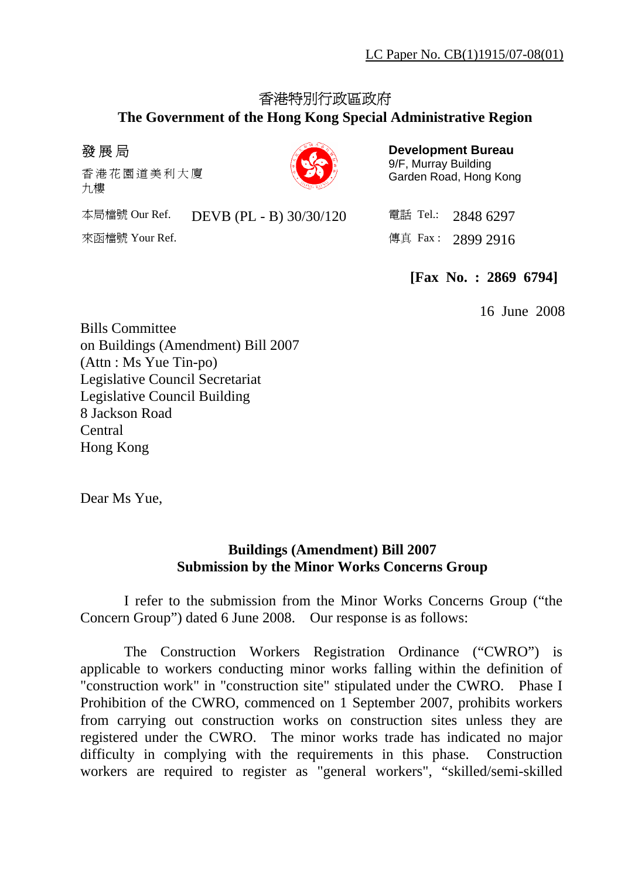# 香港特別行政區政府

### **The Government of the Hong Kong Special Administrative Region**

## 發展局

香港花園道美 利 大 廈 九樓

| ú, |  |
|----|--|

**Development Bureau**  9/F, Murray Building Garden Road, Hong Kong

本局檔號 Our Ref. DEVB (PL - B) 30/30/120 電話 Tel.: 2848 6297 來函檔號 Your Ref. 2899 2916

**[Fax No. : 2869 6794]** 

16 June 2008

Bills Committee on Buildings (Amendment) Bill 2007 (Attn : Ms Yue Tin-po) Legislative Council Secretariat Legislative Council Building 8 Jackson Road Central Hong Kong

Dear Ms Yue,

### **Buildings (Amendment) Bill 2007 Submission by the Minor Works Concerns Group**

 I refer to the submission from the Minor Works Concerns Group ("the Concern Group") dated 6 June 2008. Our response is as follows:

 The Construction Workers Registration Ordinance ("CWRO") is applicable to workers conducting minor works falling within the definition of "construction work" in "construction site" stipulated under the CWRO. Phase I Prohibition of the CWRO, commenced on 1 September 2007, prohibits workers from carrying out construction works on construction sites unless they are registered under the CWRO. The minor works trade has indicated no major difficulty in complying with the requirements in this phase. Construction workers are required to register as "general workers", "skilled/semi-skilled